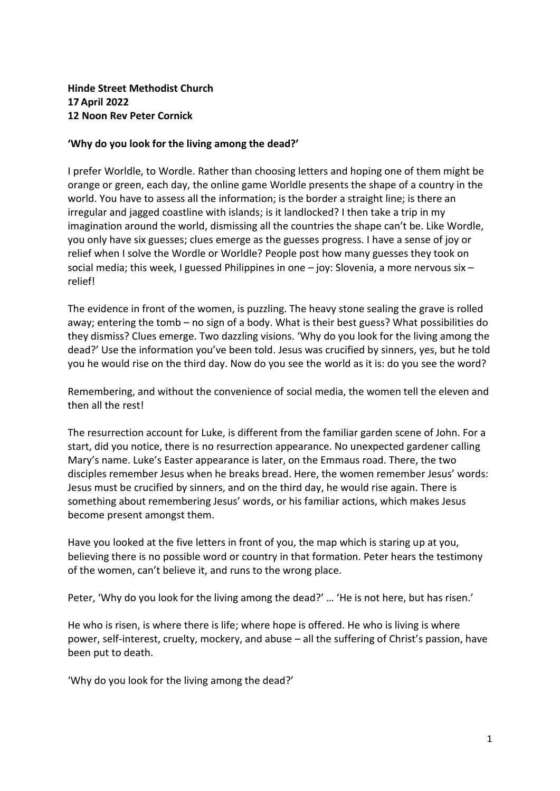## **Hinde Street Methodist Church 17 April 2022 12 Noon Rev Peter Cornick**

## **'Why do you look for the living among the dead?'**

I prefer Worldle, to Wordle. Rather than choosing letters and hoping one of them might be orange or green, each day, the online game Worldle presents the shape of a country in the world. You have to assess all the information; is the border a straight line; is there an irregular and jagged coastline with islands; is it landlocked? I then take a trip in my imagination around the world, dismissing all the countries the shape can't be. Like Wordle, you only have six guesses; clues emerge as the guesses progress. I have a sense of joy or relief when I solve the Wordle or Worldle? People post how many guesses they took on social media; this week, I guessed Philippines in one – joy: Slovenia, a more nervous six – relief!

The evidence in front of the women, is puzzling. The heavy stone sealing the grave is rolled away; entering the tomb – no sign of a body. What is their best guess? What possibilities do they dismiss? Clues emerge. Two dazzling visions. 'Why do you look for the living among the dead?' Use the information you've been told. Jesus was crucified by sinners, yes, but he told you he would rise on the third day. Now do you see the world as it is: do you see the word?

Remembering, and without the convenience of social media, the women tell the eleven and then all the rest!

The resurrection account for Luke, is different from the familiar garden scene of John. For a start, did you notice, there is no resurrection appearance. No unexpected gardener calling Mary's name. Luke's Easter appearance is later, on the Emmaus road. There, the two disciples remember Jesus when he breaks bread. Here, the women remember Jesus' words: Jesus must be crucified by sinners, and on the third day, he would rise again. There is something about remembering Jesus' words, or his familiar actions, which makes Jesus become present amongst them.

Have you looked at the five letters in front of you, the map which is staring up at you, believing there is no possible word or country in that formation. Peter hears the testimony of the women, can't believe it, and runs to the wrong place.

Peter, 'Why do you look for the living among the dead?' … 'He is not here, but has risen.'

He who is risen, is where there is life; where hope is offered. He who is living is where power, self-interest, cruelty, mockery, and abuse – all the suffering of Christ's passion, have been put to death.

'Why do you look for the living among the dead?'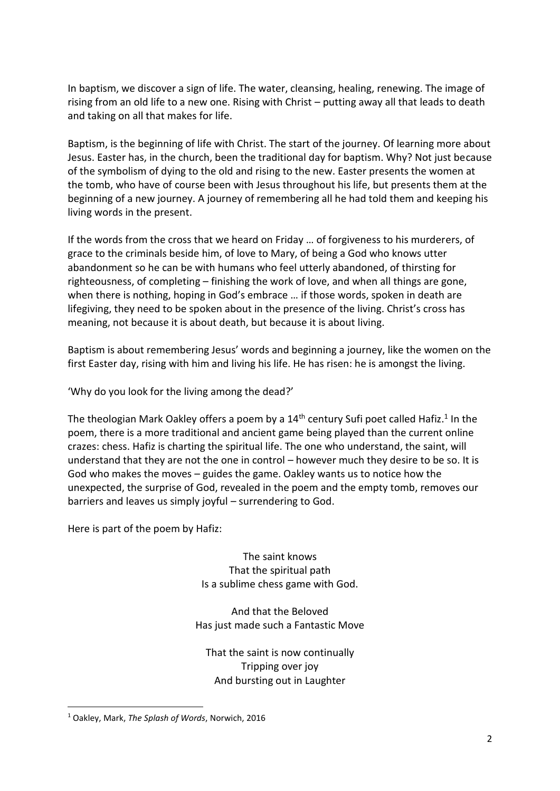In baptism, we discover a sign of life. The water, cleansing, healing, renewing. The image of rising from an old life to a new one. Rising with Christ – putting away all that leads to death and taking on all that makes for life.

Baptism, is the beginning of life with Christ. The start of the journey. Of learning more about Jesus. Easter has, in the church, been the traditional day for baptism. Why? Not just because of the symbolism of dying to the old and rising to the new. Easter presents the women at the tomb, who have of course been with Jesus throughout his life, but presents them at the beginning of a new journey. A journey of remembering all he had told them and keeping his living words in the present.

If the words from the cross that we heard on Friday … of forgiveness to his murderers, of grace to the criminals beside him, of love to Mary, of being a God who knows utter abandonment so he can be with humans who feel utterly abandoned, of thirsting for righteousness, of completing – finishing the work of love, and when all things are gone, when there is nothing, hoping in God's embrace … if those words, spoken in death are lifegiving, they need to be spoken about in the presence of the living. Christ's cross has meaning, not because it is about death, but because it is about living.

Baptism is about remembering Jesus' words and beginning a journey, like the women on the first Easter day, rising with him and living his life. He has risen: he is amongst the living.

'Why do you look for the living among the dead?'

The theologian Mark Oakley offers a poem by a 14<sup>th</sup> century Sufi poet called Hafiz.<sup>1</sup> In the poem, there is a more traditional and ancient game being played than the current online crazes: chess. Hafiz is charting the spiritual life. The one who understand, the saint, will understand that they are not the one in control – however much they desire to be so. It is God who makes the moves – guides the game. Oakley wants us to notice how the unexpected, the surprise of God, revealed in the poem and the empty tomb, removes our barriers and leaves us simply joyful – surrendering to God.

Here is part of the poem by Hafiz:

The saint knows That the spiritual path Is a sublime chess game with God.

And that the Beloved Has just made such a Fantastic Move

That the saint is now continually Tripping over joy And bursting out in Laughter

**.** 

<sup>1</sup> Oakley, Mark, *The Splash of Words*, Norwich, 2016